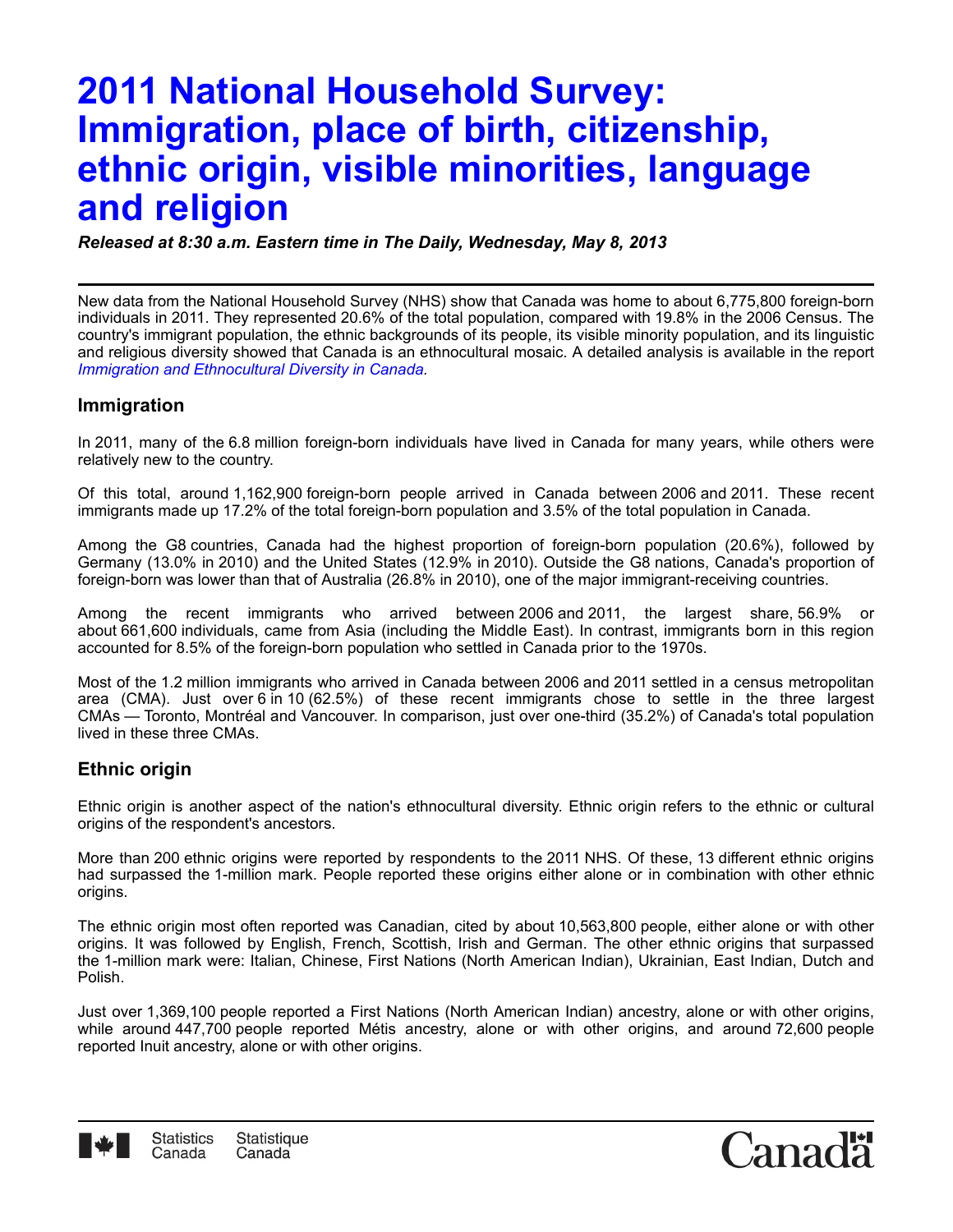# **2011 National Household Survey: Immigration, place of birth, citizenship, ethnic origin, visible minorities, language and religion**

*Released at 8:30 a.m. Eastern time in The Daily, Wednesday, May 8, 2013*

New data from the National Household Survey (NHS) show that Canada was home to about 6,775,800 foreign-born individuals in 2011. They represented 20.6% of the total population, compared with 19.8% in the 2006 Census. The country's immigrant population, the ethnic backgrounds of its people, its visible minority population, and its linguistic and religious diversity showed that Canada is an ethnocultural mosaic. A detailed analysis is available in the report *[Immigration and Ethnocultural Diversity in Canada](http://www12.statcan.gc.ca/nhs-enm/2011/as-sa/99-010-x/99-010-x2011001-eng.cfm).*

### **Immigration**

In 2011, many of the 6.8 million foreign-born individuals have lived in Canada for many years, while others were relatively new to the country.

Of this total, around 1,162,900 foreign-born people arrived in Canada between 2006 and 2011. These recent immigrants made up 17.2% of the total foreign-born population and 3.5% of the total population in Canada.

Among the G8 countries, Canada had the highest proportion of foreign-born population (20.6%), followed by Germany (13.0% in 2010) and the United States (12.9% in 2010). Outside the G8 nations, Canada's proportion of foreign-born was lower than that of Australia (26.8% in 2010), one of the major immigrant-receiving countries.

Among the recent immigrants who arrived between 2006 and 2011, the largest share, 56.9% or about 661,600 individuals, came from Asia (including the Middle East). In contrast, immigrants born in this region accounted for 8.5% of the foreign-born population who settled in Canada prior to the 1970s.

Most of the 1.2 million immigrants who arrived in Canada between 2006 and 2011 settled in a census metropolitan area (CMA). Just over 6 in 10 (62.5%) of these recent immigrants chose to settle in the three largest CMAs — Toronto, Montréal and Vancouver. In comparison, just over one-third (35.2%) of Canada's total population lived in these three CMAs.

# **Ethnic origin**

Ethnic origin is another aspect of the nation's ethnocultural diversity. Ethnic origin refers to the ethnic or cultural origins of the respondent's ancestors.

More than 200 ethnic origins were reported by respondents to the 2011 NHS. Of these, 13 different ethnic origins had surpassed the 1-million mark. People reported these origins either alone or in combination with other ethnic origins.

The ethnic origin most often reported was Canadian, cited by about 10,563,800 people, either alone or with other origins. It was followed by English, French, Scottish, Irish and German. The other ethnic origins that surpassed the 1-million mark were: Italian, Chinese, First Nations (North American Indian), Ukrainian, East Indian, Dutch and Polish.

Just over 1,369,100 people reported a First Nations (North American Indian) ancestry, alone or with other origins, while around 447,700 people reported Métis ancestry, alone or with other origins, and around 72,600 people reported Inuit ancestry, alone or with other origins.



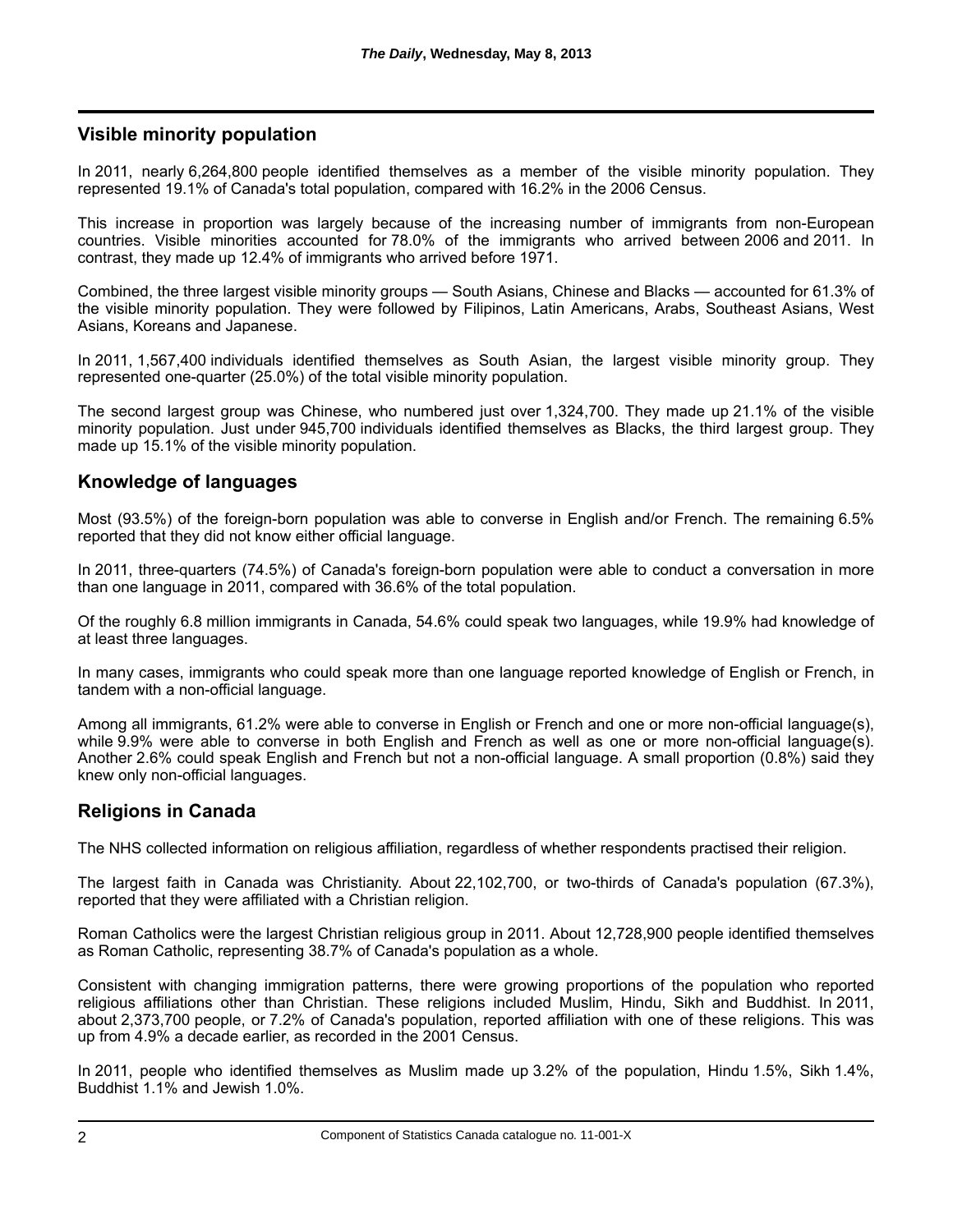# **Visible minority population**

In 2011, nearly 6,264,800 people identified themselves as a member of the visible minority population. They represented 19.1% of Canada's total population, compared with 16.2% in the 2006 Census.

This increase in proportion was largely because of the increasing number of immigrants from non-European countries. Visible minorities accounted for 78.0% of the immigrants who arrived between 2006 and 2011. In contrast, they made up 12.4% of immigrants who arrived before 1971.

Combined, the three largest visible minority groups — South Asians, Chinese and Blacks — accounted for 61.3% of the visible minority population. They were followed by Filipinos, Latin Americans, Arabs, Southeast Asians, West Asians, Koreans and Japanese.

In 2011, 1,567,400 individuals identified themselves as South Asian, the largest visible minority group. They represented one-quarter (25.0%) of the total visible minority population.

The second largest group was Chinese, who numbered just over 1,324,700. They made up 21.1% of the visible minority population. Just under 945,700 individuals identified themselves as Blacks, the third largest group. They made up 15.1% of the visible minority population.

### **Knowledge of languages**

Most (93.5%) of the foreign-born population was able to converse in English and/or French. The remaining 6.5% reported that they did not know either official language.

In 2011, three-quarters (74.5%) of Canada's foreign-born population were able to conduct a conversation in more than one language in 2011, compared with 36.6% of the total population.

Of the roughly 6.8 million immigrants in Canada, 54.6% could speak two languages, while 19.9% had knowledge of at least three languages.

In many cases, immigrants who could speak more than one language reported knowledge of English or French, in tandem with a non-official language.

Among all immigrants, 61.2% were able to converse in English or French and one or more non-official language(s), while 9.9% were able to converse in both English and French as well as one or more non-official language(s). Another 2.6% could speak English and French but not a non-official language. A small proportion (0.8%) said they knew only non-official languages.

### **Religions in Canada**

The NHS collected information on religious affiliation, regardless of whether respondents practised their religion.

The largest faith in Canada was Christianity. About 22,102,700, or two-thirds of Canada's population (67.3%), reported that they were affiliated with a Christian religion.

Roman Catholics were the largest Christian religious group in 2011. About 12,728,900 people identified themselves as Roman Catholic, representing 38.7% of Canada's population as a whole.

Consistent with changing immigration patterns, there were growing proportions of the population who reported religious affiliations other than Christian. These religions included Muslim, Hindu, Sikh and Buddhist. In 2011, about 2,373,700 people, or 7.2% of Canada's population, reported affiliation with one of these religions. This was up from 4.9% a decade earlier, as recorded in the 2001 Census.

In 2011, people who identified themselves as Muslim made up 3.2% of the population, Hindu 1.5%, Sikh 1.4%, Buddhist 1.1% and Jewish 1.0%.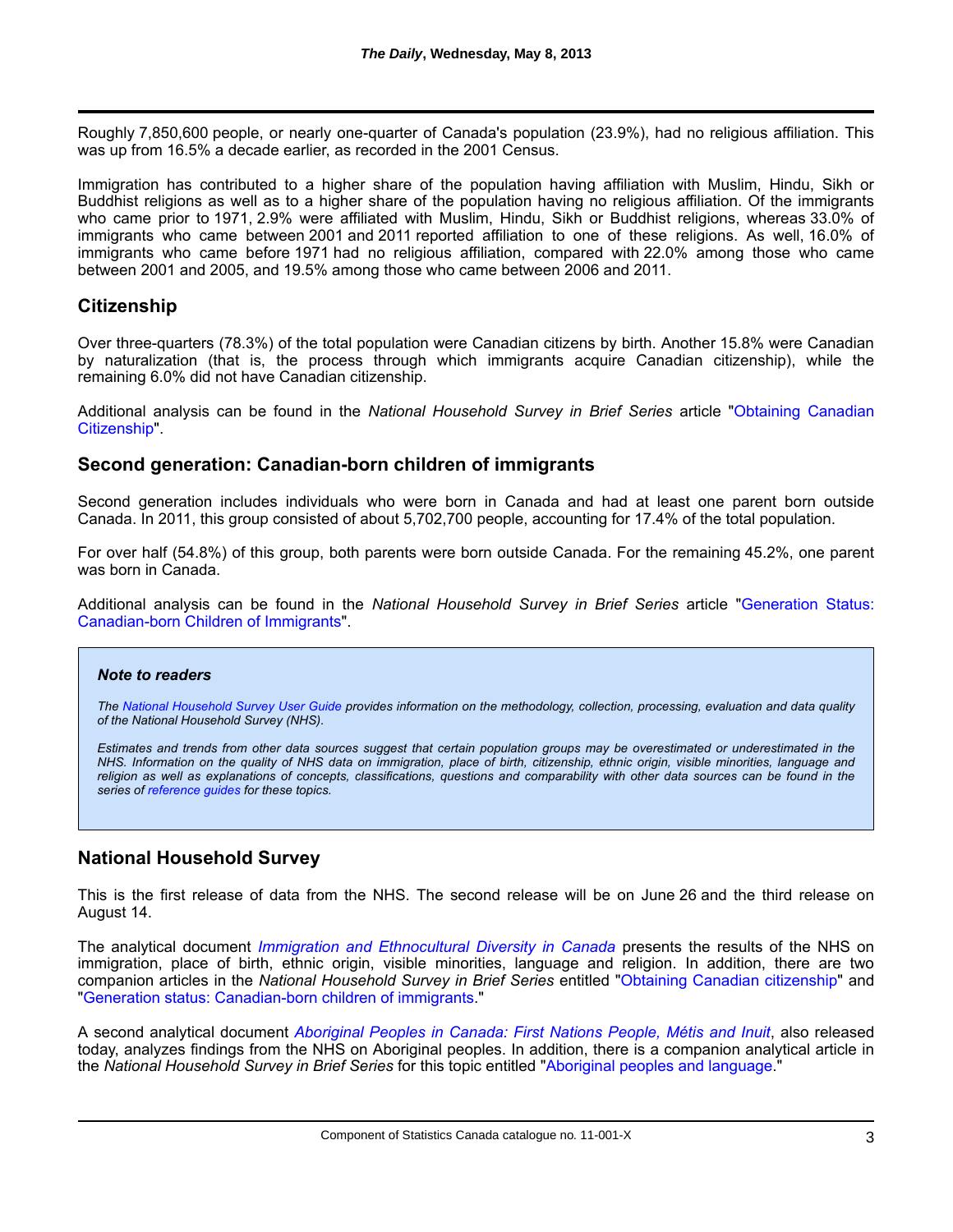Roughly 7,850,600 people, or nearly one-quarter of Canada's population (23.9%), had no religious affiliation. This was up from 16.5% a decade earlier, as recorded in the 2001 Census.

Immigration has contributed to a higher share of the population having affiliation with Muslim, Hindu, Sikh or Buddhist religions as well as to a higher share of the population having no religious affiliation. Of the immigrants who came prior to 1971, 2.9% were affiliated with Muslim, Hindu, Sikh or Buddhist religions, whereas 33.0% of immigrants who came between 2001 and 2011 reported affiliation to one of these religions. As well, 16.0% of immigrants who came before 1971 had no religious affiliation, compared with 22.0% among those who came between 2001 and 2005, and 19.5% among those who came between 2006 and 2011.

## **Citizenship**

Over three-quarters (78.3%) of the total population were Canadian citizens by birth. Another 15.8% were Canadian by naturalization (that is, the process through which immigrants acquire Canadian citizenship), while the remaining 6.0% did not have Canadian citizenship.

Additional analysis can be found in the *[National Household Survey in Brief Series](http://www12.statcan.gc.ca/nhs-enm/2011/as-sa/99-010-x/99-010-x2011003_1-eng.cfm)* article "Obtaining Canadian Citizenship".

#### **Second generation: Canadian-born children of immigrants**

Second generation includes individuals who were born in Canada and had at least one parent born outside Canada. In 2011, this group consisted of about 5,702,700 people, accounting for 17.4% of the total population.

For over half (54.8%) of this group, both parents were born outside Canada. For the remaining 45.2%, one parent was born in Canada.

Additional analysis can be found in the *[National Household Survey in Brief Series](http://www12.statcan.gc.ca/nhs-enm/2011/as-sa/99-010-x/99-010-x2011003_2-eng.cfm)* article "Generation Status: Canadian-born Children of Immigrants".

#### *Note to readers*

*The [National Household Survey User Guide](http://www12.statcan.gc.ca/nhs-enm/2011/ref/nhs-enm_guide/index-eng.cfm) provides information on the methodology, collection, processing, evaluation and data quality of the National Household Survey (NHS).*

*Estimates and trends from other data sources suggest that certain population groups may be overestimated or underestimated in the NHS. Information on the quality of NHS data on immigration, place of birth, citizenship, ethnic origin, visible minorities, language and religion as well as explanations of concepts, classifications, questions and comparability with other data sources can be found in the series of [reference guides](http://www12.statcan.gc.ca/nhs-enm/2011/ref/guides/index-eng.cfm) for these topics.*

# **National Household Survey**

This is the first release of data from the NHS. The second release will be on June 26 and the third release on August 14.

The analytical document *[Immigration and Ethnocultural Diversity in Canada](http://www12.statcan.gc.ca/nhs-enm/2011/as-sa/99-010-x/99-010-x2011001-eng.cfm)* presents the results of the NHS on immigration, place of birth, ethnic origin, visible minorities, language and religion. In addition, there are two companion articles in the *National Household Survey in Brief Series* entitled"[Obtaining Canadian citizenship](http://www12.statcan.gc.ca/nhs-enm/2011/as-sa/99-010-x/99-010-x2011003_1-eng.cfm)" and "Generation status: Canadian-born children of immigrants."

A second analytical document *[Aboriginal Peoples in Canada: First Nations People, Métis and Inuit](http://www12.statcan.gc.ca/nhs-enm/2011/as-sa/99-011-x/99-011-x2011001-eng.cfm)*, also released today, analyzes findings from the NHS on Aboriginal peoples. In addition, there is a companion analytical article in the *National Household Survey in Brief Series* for this topic entitled"[Aboriginal peoples and language.](http://www12.statcan.gc.ca/nhs-enm/2011/as-sa/99-011-x/99-011-x2011003_1-eng.cfm)"